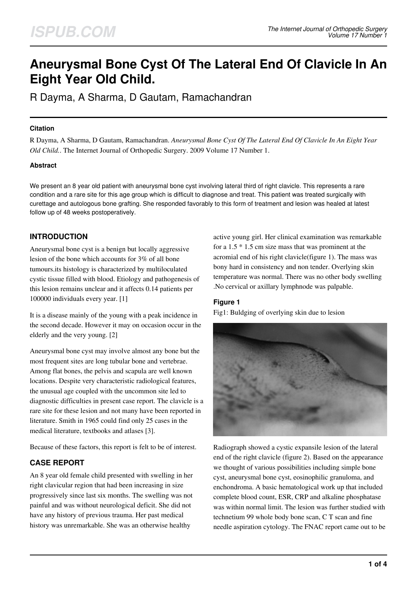# **Aneurysmal Bone Cyst Of The Lateral End Of Clavicle In An Eight Year Old Child.**

R Dayma, A Sharma, D Gautam, Ramachandran

#### **Citation**

R Dayma, A Sharma, D Gautam, Ramachandran. *Aneurysmal Bone Cyst Of The Lateral End Of Clavicle In An Eight Year Old Child.*. The Internet Journal of Orthopedic Surgery. 2009 Volume 17 Number 1.

#### **Abstract**

We present an 8 year old patient with aneurysmal bone cyst involving lateral third of right clavicle. This represents a rare condition and a rare site for this age group which is difficult to diagnose and treat. This patient was treated surgically with curettage and autologous bone grafting. She responded favorably to this form of treatment and lesion was healed at latest follow up of 48 weeks postoperatively.

# **INTRODUCTION**

Aneurysmal bone cyst is a benign but locally aggressive lesion of the bone which accounts for 3% of all bone tumours.its histology is characterized by multiloculated cystic tissue filled with blood. Etiology and pathogenesis of this lesion remains unclear and it affects 0.14 patients per 100000 individuals every year. [1]

It is a disease mainly of the young with a peak incidence in the second decade. However it may on occasion occur in the elderly and the very young. [2]

Aneurysmal bone cyst may involve almost any bone but the most frequent sites are long tubular bone and vertebrae. Among flat bones, the pelvis and scapula are well known locations. Despite very characteristic radiological features, the unusual age coupled with the uncommon site led to diagnostic difficulties in present case report. The clavicle is a rare site for these lesion and not many have been reported in literature. Smith in 1965 could find only 25 cases in the medical literature, textbooks and atlases [3].

Because of these factors, this report is felt to be of interest.

# **CASE REPORT**

An 8 year old female child presented with swelling in her right clavicular region that had been increasing in size progressively since last six months. The swelling was not painful and was without neurological deficit. She did not have any history of previous trauma. Her past medical history was unremarkable. She was an otherwise healthy

active young girl. Her clinical examination was remarkable for a 1.5 \* 1.5 cm size mass that was prominent at the acromial end of his right clavicle(figure 1). The mass was bony hard in consistency and non tender. Overlying skin temperature was normal. There was no other body swelling .No cervical or axillary lymphnode was palpable.

### **Figure 1**

Fig1: Buldging of overlying skin due to lesion



Radiograph showed a cystic expansile lesion of the lateral end of the right clavicle (figure 2). Based on the appearance we thought of various possibilities including simple bone cyst, aneurysmal bone cyst, eosinophilic granuloma, and enchondroma. A basic hematological work up that included complete blood count, ESR, CRP and alkaline phosphatase was within normal limit. The lesion was further studied with technetium 99 whole body bone scan, C T scan and fine needle aspiration cytology. The FNAC report came out to be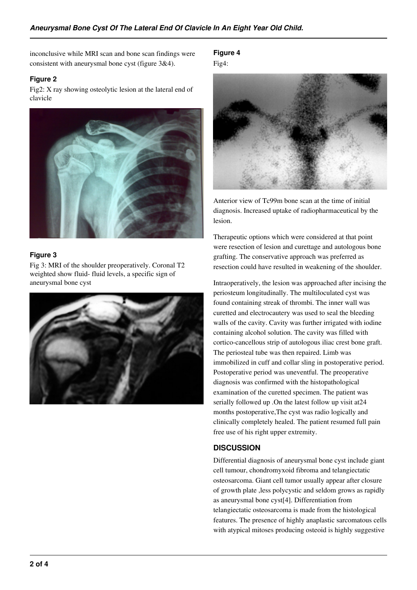inconclusive while MRI scan and bone scan findings were consistent with aneurysmal bone cyst (figure 3&4).

## **Figure 2**

Fig2: X ray showing osteolytic lesion at the lateral end of clavicle



## **Figure 3**

Fig 3: MRI of the shoulder preoperatively. Coronal T2 weighted show fluid- fluid levels, a specific sign of aneurysmal bone cyst



**Figure 4** Fig4:



Anterior view of Tc99m bone scan at the time of initial diagnosis. Increased uptake of radiopharmaceutical by the lesion.

Therapeutic options which were considered at that point were resection of lesion and curettage and autologous bone grafting. The conservative approach was preferred as resection could have resulted in weakening of the shoulder.

Intraoperatively, the lesion was approached after incising the periosteum longitudinally. The multiloculated cyst was found containing streak of thrombi. The inner wall was curetted and electrocautery was used to seal the bleeding walls of the cavity. Cavity was further irrigated with iodine containing alcohol solution. The cavity was filled with cortico-cancellous strip of autologous iliac crest bone graft. The periosteal tube was then repaired. Limb was immobilized in cuff and collar sling in postoperative period. Postoperative period was uneventful. The preoperative diagnosis was confirmed with the histopathological examination of the curetted specimen. The patient was serially followed up .On the latest follow up visit at24 months postoperative,The cyst was radio logically and clinically completely healed. The patient resumed full pain free use of his right upper extremity.

# **DISCUSSION**

Differential diagnosis of aneurysmal bone cyst include giant cell tumour, chondromyxoid fibroma and telangiectatic osteosarcoma. Giant cell tumor usually appear after closure of growth plate ,less polycystic and seldom grows as rapidly as aneurysmal bone cyst[4]. Differentiation from telangiectatic osteosarcoma is made from the histological features. The presence of highly anaplastic sarcomatous cells with atypical mitoses producing osteoid is highly suggestive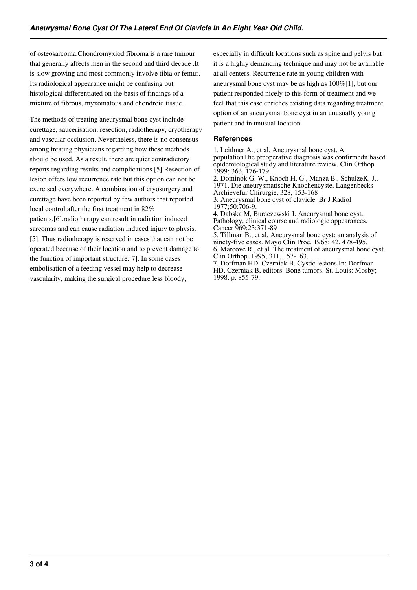of osteosarcoma.Chondromyxiod fibroma is a rare tumour that generally affects men in the second and third decade .It is slow growing and most commonly involve tibia or femur. Its radiological appearance might be confusing but histological differentiated on the basis of findings of a mixture of fibrous, myxomatous and chondroid tissue.

The methods of treating aneurysmal bone cyst include curettage, saucerisation, resection, radiotherapy, cryotherapy and vascular occlusion. Nevertheless, there is no consensus among treating physicians regarding how these methods should be used. As a result, there are quiet contradictory reports regarding results and complications.[5].Resection of lesion offers low recurrence rate but this option can not be exercised everywhere. A combination of cryosurgery and curettage have been reported by few authors that reported local control after the first treatment in 82% patients.[6].radiotherapy can result in radiation induced sarcomas and can cause radiation induced injury to physis. [5]. Thus radiotherapy is reserved in cases that can not be operated because of their location and to prevent damage to the function of important structure.[7]. In some cases embolisation of a feeding vessel may help to decrease vascularity, making the surgical procedure less bloody,

especially in difficult locations such as spine and pelvis but it is a highly demanding technique and may not be available at all centers. Recurrence rate in young children with aneurysmal bone cyst may be as high as 100%[1], but our patient responded nicely to this form of treatment and we feel that this case enriches existing data regarding treatment option of an aneurysmal bone cyst in an unusually young patient and in unusual location.

#### **References**

1. Leithner A., et al. Aneurysmal bone cyst. A populationThe preoperative diagnosis was confirmedn based epidemiological study and literature review. Clin Orthop. 1999; 363, 176-179 2. Dominok G. W., Knoch H. G., Manza B., SchulzeK. J.,

1971. Die aneurysmatische Knochencyste. Langenbecks Archievefur Chirurgie, 328, 153-168

3. Aneurysmal bone cyst of clavicle .Br J Radiol 1977;50:706-9.

4. Dabska M, Buraczewski J. Aneurysmal bone cyst. Pathology, clinical course and radiologic appearances. Cancer 969;23:371-89

5. Tillman B., et al. Aneurysmal bone cyst: an analysis of ninety-five cases. Mayo Clin Proc. 1968; 42, 478-495. 6. Marcove R., et al. The treatment of aneurysmal bone cyst. Clin Orthop. 1995; 311, 157-163. 7. Dorfman HD, Czerniak B. Cystic lesions.In: Dorfman

HD, Czerniak B, editors. Bone tumors. St. Louis: Mosby; 1998. p. 855-79.